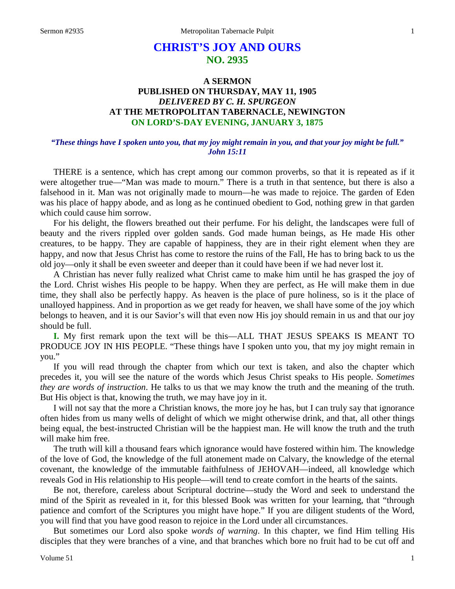# **CHRIST'S JOY AND OURS NO. 2935**

# **A SERMON PUBLISHED ON THURSDAY, MAY 11, 1905** *DELIVERED BY C. H. SPURGEON* **AT THE METROPOLITAN TABERNACLE, NEWINGTON ON LORD'S-DAY EVENING, JANUARY 3, 1875**

# *"These things have I spoken unto you, that my joy might remain in you, and that your joy might be full." John 15:11*

THERE is a sentence, which has crept among our common proverbs, so that it is repeated as if it were altogether true—"Man was made to mourn." There is a truth in that sentence, but there is also a falsehood in it. Man was not originally made to mourn—he was made to rejoice. The garden of Eden was his place of happy abode, and as long as he continued obedient to God, nothing grew in that garden which could cause him sorrow.

For his delight, the flowers breathed out their perfume. For his delight, the landscapes were full of beauty and the rivers rippled over golden sands. God made human beings, as He made His other creatures, to be happy. They are capable of happiness, they are in their right element when they are happy, and now that Jesus Christ has come to restore the ruins of the Fall, He has to bring back to us the old joy—only it shall be even sweeter and deeper than it could have been if we had never lost it.

A Christian has never fully realized what Christ came to make him until he has grasped the joy of the Lord. Christ wishes His people to be happy. When they are perfect, as He will make them in due time, they shall also be perfectly happy. As heaven is the place of pure holiness, so is it the place of unalloyed happiness. And in proportion as we get ready for heaven, we shall have some of the joy which belongs to heaven, and it is our Savior's will that even now His joy should remain in us and that our joy should be full.

**I.** My first remark upon the text will be this—ALL THAT JESUS SPEAKS IS MEANT TO PRODUCE JOY IN HIS PEOPLE. "These things have I spoken unto you, that my joy might remain in you."

If you will read through the chapter from which our text is taken, and also the chapter which precedes it, you will see the nature of the words which Jesus Christ speaks to His people. *Sometimes they are words of instruction*. He talks to us that we may know the truth and the meaning of the truth. But His object is that, knowing the truth, we may have joy in it.

I will not say that the more a Christian knows, the more joy he has, but I can truly say that ignorance often hides from us many wells of delight of which we might otherwise drink, and that, all other things being equal, the best-instructed Christian will be the happiest man. He will know the truth and the truth will make him free.

The truth will kill a thousand fears which ignorance would have fostered within him. The knowledge of the love of God, the knowledge of the full atonement made on Calvary, the knowledge of the eternal covenant, the knowledge of the immutable faithfulness of JEHOVAH—indeed, all knowledge which reveals God in His relationship to His people—will tend to create comfort in the hearts of the saints.

Be not, therefore, careless about Scriptural doctrine—study the Word and seek to understand the mind of the Spirit as revealed in it, for this blessed Book was written for your learning, that "through patience and comfort of the Scriptures you might have hope." If you are diligent students of the Word, you will find that you have good reason to rejoice in the Lord under all circumstances.

But sometimes our Lord also spoke *words of warning*. In this chapter, we find Him telling His disciples that they were branches of a vine, and that branches which bore no fruit had to be cut off and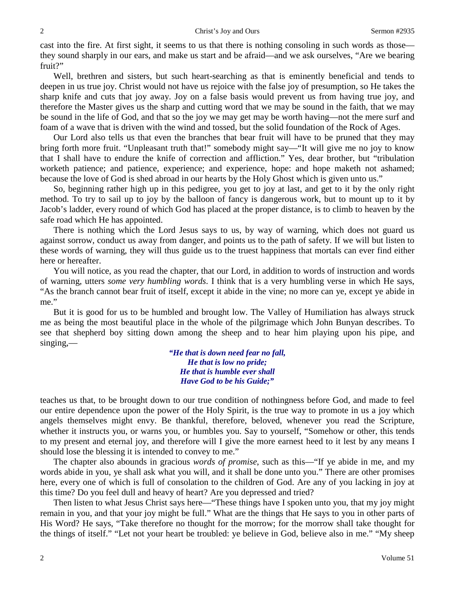cast into the fire. At first sight, it seems to us that there is nothing consoling in such words as those they sound sharply in our ears, and make us start and be afraid—and we ask ourselves, "Are we bearing fruit?"

Well, brethren and sisters, but such heart-searching as that is eminently beneficial and tends to deepen in us true joy. Christ would not have us rejoice with the false joy of presumption, so He takes the sharp knife and cuts that joy away. Joy on a false basis would prevent us from having true joy, and therefore the Master gives us the sharp and cutting word that we may be sound in the faith, that we may be sound in the life of God, and that so the joy we may get may be worth having—not the mere surf and foam of a wave that is driven with the wind and tossed, but the solid foundation of the Rock of Ages.

Our Lord also tells us that even the branches that bear fruit will have to be pruned that they may bring forth more fruit. "Unpleasant truth that!" somebody might say—"It will give me no joy to know that I shall have to endure the knife of correction and affliction." Yes, dear brother, but "tribulation worketh patience; and patience, experience; and experience, hope: and hope maketh not ashamed; because the love of God is shed abroad in our hearts by the Holy Ghost which is given unto us."

So, beginning rather high up in this pedigree, you get to joy at last, and get to it by the only right method. To try to sail up to joy by the balloon of fancy is dangerous work, but to mount up to it by Jacob's ladder, every round of which God has placed at the proper distance, is to climb to heaven by the safe road which He has appointed.

There is nothing which the Lord Jesus says to us, by way of warning, which does not guard us against sorrow, conduct us away from danger, and points us to the path of safety. If we will but listen to these words of warning, they will thus guide us to the truest happiness that mortals can ever find either here or hereafter.

You will notice, as you read the chapter, that our Lord, in addition to words of instruction and words of warning, utters *some very humbling words*. I think that is a very humbling verse in which He says, "As the branch cannot bear fruit of itself, except it abide in the vine; no more can ye, except ye abide in me."

But it is good for us to be humbled and brought low. The Valley of Humiliation has always struck me as being the most beautiful place in the whole of the pilgrimage which John Bunyan describes. To see that shepherd boy sitting down among the sheep and to hear him playing upon his pipe, and singing,—

> *"He that is down need fear no fall, He that is low no pride; He that is humble ever shall Have God to be his Guide;"*

teaches us that, to be brought down to our true condition of nothingness before God, and made to feel our entire dependence upon the power of the Holy Spirit, is the true way to promote in us a joy which angels themselves might envy. Be thankful, therefore, beloved, whenever you read the Scripture, whether it instructs you, or warns you, or humbles you. Say to yourself, "Somehow or other, this tends to my present and eternal joy, and therefore will I give the more earnest heed to it lest by any means I should lose the blessing it is intended to convey to me."

The chapter also abounds in gracious *words of promise*, such as this—"If ye abide in me, and my words abide in you, ye shall ask what you will, and it shall be done unto you." There are other promises here, every one of which is full of consolation to the children of God. Are any of you lacking in joy at this time? Do you feel dull and heavy of heart? Are you depressed and tried?

Then listen to what Jesus Christ says here—"These things have I spoken unto you, that my joy might remain in you, and that your joy might be full." What are the things that He says to you in other parts of His Word? He says, "Take therefore no thought for the morrow; for the morrow shall take thought for the things of itself." "Let not your heart be troubled: ye believe in God, believe also in me." "My sheep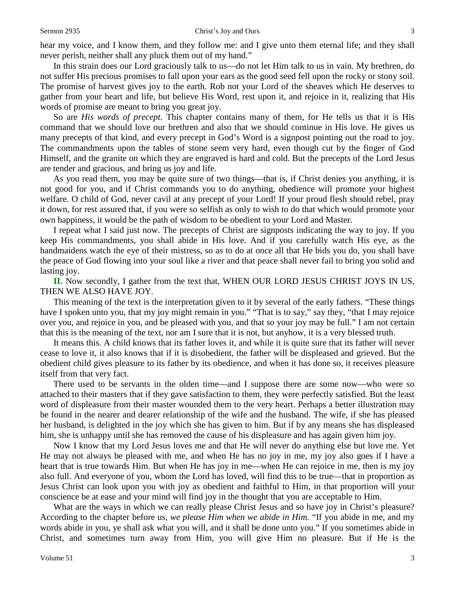hear my voice, and I know them, and they follow me: and I give unto them eternal life; and they shall never perish, neither shall any pluck them out of my hand."

In this strain does our Lord graciously talk to us—do not let Him talk to us in vain. My brethren, do not suffer His precious promises to fall upon your ears as the good seed fell upon the rocky or stony soil. The promise of harvest gives joy to the earth. Rob not your Lord of the sheaves which He deserves to gather from your heart and life, but believe His Word, rest upon it, and rejoice in it, realizing that His words of promise are meant to bring you great joy.

So are *His words of precept*. This chapter contains many of them, for He tells us that it is His command that we should love our brethren and also that we should continue in His love. He gives us many precepts of that kind, and every precept in God's Word is a signpost pointing out the road to joy. The commandments upon the tables of stone seem very hard, even though cut by the finger of God Himself, and the granite on which they are engraved is hard and cold. But the precepts of the Lord Jesus are tender and gracious, and bring us joy and life.

As you read them, you may be quite sure of two things—that is, if Christ denies you anything, it is not good for you, and if Christ commands you to do anything, obedience will promote your highest welfare. O child of God, never cavil at any precept of your Lord! If your proud flesh should rebel, pray it down, for rest assured that, if you were so selfish as only to wish to do that which would promote your own happiness, it would be the path of wisdom to be obedient to your Lord and Master.

I repeat what I said just now. The precepts of Christ are signposts indicating the way to joy. If you keep His commandments, you shall abide in His love. And if you carefully watch His eye, as the handmaidens watch the eye of their mistress, so as to do at once all that He bids you do, you shall have the peace of God flowing into your soul like a river and that peace shall never fail to bring you solid and lasting joy.

**II.** Now secondly, I gather from the text that, WHEN OUR LORD JESUS CHRIST JOYS IN US, THEN WE ALSO HAVE JOY.

This meaning of the text is the interpretation given to it by several of the early fathers. "These things have I spoken unto you, that my joy might remain in you." "That is to say," say they, "that I may rejoice over you, and rejoice in you, and be pleased with you, and that so your joy may be full." I am not certain that this is the meaning of the text, nor am I sure that it is not, but anyhow, it is a very blessed truth.

It means this. A child knows that its father loves it, and while it is quite sure that its father will never cease to love it, it also knows that if it is disobedient, the father will be displeased and grieved. But the obedient child gives pleasure to its father by its obedience, and when it has done so, it receives pleasure itself from that very fact.

There used to be servants in the olden time—and I suppose there are some now—who were so attached to their masters that if they gave satisfaction to them, they were perfectly satisfied. But the least word of displeasure from their master wounded them to the very heart. Perhaps a better illustration may be found in the nearer and dearer relationship of the wife and the husband. The wife, if she has pleased her husband, is delighted in the joy which she has given to him. But if by any means she has displeased him, she is unhappy until she has removed the cause of his displeasure and has again given him joy.

Now I know that my Lord Jesus loves me and that He will never do anything else but love me. Yet He may not always be pleased with me, and when He has no joy in me, my joy also goes if I have a heart that is true towards Him. But when He has joy in me—when He can rejoice in me, then is my joy also full. And everyone of you, whom the Lord has loved, will find this to be true—that in proportion as Jesus Christ can look upon you with joy as obedient and faithful to Him, in that proportion will your conscience be at ease and your mind will find joy in the thought that you are acceptable to Him.

What are the ways in which we can really please Christ Jesus and so have joy in Christ's pleasure? According to the chapter before us, *we please Him when we abide in Him.* "If you abide in me, and my words abide in you, ye shall ask what you will, and it shall be done unto you." If you sometimes abide in Christ, and sometimes turn away from Him, you will give Him no pleasure. But if He is the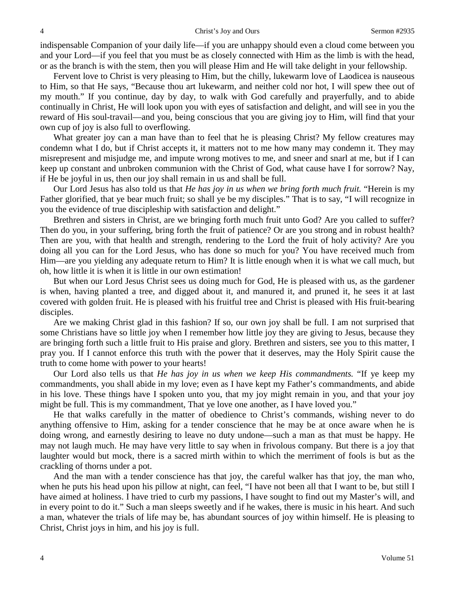indispensable Companion of your daily life—if you are unhappy should even a cloud come between you and your Lord—if you feel that you must be as closely connected with Him as the limb is with the head, or as the branch is with the stem, then you will please Him and He will take delight in your fellowship.

Fervent love to Christ is very pleasing to Him, but the chilly, lukewarm love of Laodicea is nauseous to Him, so that He says, "Because thou art lukewarm, and neither cold nor hot, I will spew thee out of my mouth." If you continue, day by day, to walk with God carefully and prayerfully, and to abide continually in Christ, He will look upon you with eyes of satisfaction and delight, and will see in you the reward of His soul-travail—and you, being conscious that you are giving joy to Him, will find that your own cup of joy is also full to overflowing.

What greater joy can a man have than to feel that he is pleasing Christ? My fellow creatures may condemn what I do, but if Christ accepts it, it matters not to me how many may condemn it. They may misrepresent and misjudge me, and impute wrong motives to me, and sneer and snarl at me, but if I can keep up constant and unbroken communion with the Christ of God, what cause have I for sorrow? Nay, if He be joyful in us, then our joy shall remain in us and shall be full.

Our Lord Jesus has also told us that *He has joy in us when we bring forth much fruit.* "Herein is my Father glorified, that ye bear much fruit; so shall ye be my disciples." That is to say, "I will recognize in you the evidence of true discipleship with satisfaction and delight."

Brethren and sisters in Christ, are we bringing forth much fruit unto God? Are you called to suffer? Then do you, in your suffering, bring forth the fruit of patience? Or are you strong and in robust health? Then are you, with that health and strength, rendering to the Lord the fruit of holy activity? Are you doing all you can for the Lord Jesus, who has done so much for you? You have received much from Him—are you yielding any adequate return to Him? It is little enough when it is what we call much, but oh, how little it is when it is little in our own estimation!

But when our Lord Jesus Christ sees us doing much for God, He is pleased with us, as the gardener is when, having planted a tree, and digged about it, and manured it, and pruned it, he sees it at last covered with golden fruit. He is pleased with his fruitful tree and Christ is pleased with His fruit-bearing disciples.

Are we making Christ glad in this fashion? If so, our own joy shall be full. I am not surprised that some Christians have so little joy when I remember how little joy they are giving to Jesus, because they are bringing forth such a little fruit to His praise and glory. Brethren and sisters, see you to this matter, I pray you. If I cannot enforce this truth with the power that it deserves, may the Holy Spirit cause the truth to come home with power to your hearts!

Our Lord also tells us that *He has joy in us when we keep His commandments.* "If ye keep my commandments, you shall abide in my love; even as I have kept my Father's commandments, and abide in his love. These things have I spoken unto you, that my joy might remain in you, and that your joy might be full. This is my commandment, That ye love one another, as I have loved you."

He that walks carefully in the matter of obedience to Christ's commands, wishing never to do anything offensive to Him, asking for a tender conscience that he may be at once aware when he is doing wrong, and earnestly desiring to leave no duty undone—such a man as that must be happy. He may not laugh much. He may have very little to say when in frivolous company. But there is a joy that laughter would but mock, there is a sacred mirth within to which the merriment of fools is but as the crackling of thorns under a pot.

And the man with a tender conscience has that joy, the careful walker has that joy, the man who, when he puts his head upon his pillow at night, can feel, "I have not been all that I want to be, but still I have aimed at holiness. I have tried to curb my passions, I have sought to find out my Master's will, and in every point to do it." Such a man sleeps sweetly and if he wakes, there is music in his heart. And such a man, whatever the trials of life may be, has abundant sources of joy within himself. He is pleasing to Christ, Christ joys in him, and his joy is full.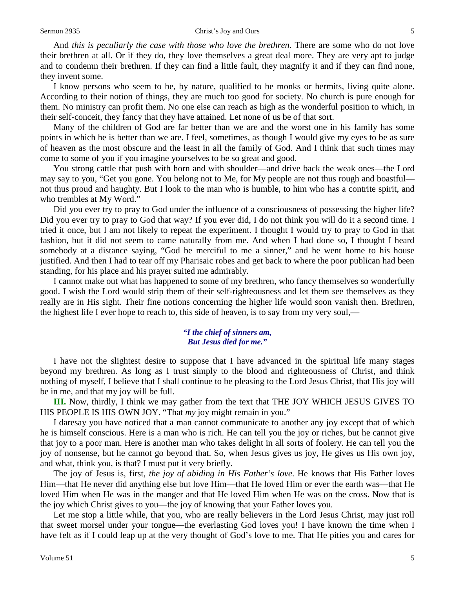#### Sermon 2935 **Sermon 2935** Christ's Joy and Ours 5

And *this is peculiarly the case with those who love the brethren*. There are some who do not love their brethren at all. Or if they do, they love themselves a great deal more. They are very apt to judge and to condemn their brethren. If they can find a little fault, they magnify it and if they can find none, they invent some.

I know persons who seem to be, by nature, qualified to be monks or hermits, living quite alone. According to their notion of things, they are much too good for society. No church is pure enough for them. No ministry can profit them. No one else can reach as high as the wonderful position to which, in their self-conceit, they fancy that they have attained. Let none of us be of that sort.

Many of the children of God are far better than we are and the worst one in his family has some points in which he is better than we are. I feel, sometimes, as though I would give my eyes to be as sure of heaven as the most obscure and the least in all the family of God. And I think that such times may come to some of you if you imagine yourselves to be so great and good.

You strong cattle that push with horn and with shoulder—and drive back the weak ones—the Lord may say to you, "Get you gone. You belong not to Me, for My people are not thus rough and boastful not thus proud and haughty. But I look to the man who is humble, to him who has a contrite spirit, and who trembles at My Word."

Did you ever try to pray to God under the influence of a consciousness of possessing the higher life? Did you ever try to pray to God that way? If you ever did, I do not think you will do it a second time. I tried it once, but I am not likely to repeat the experiment. I thought I would try to pray to God in that fashion, but it did not seem to came naturally from me. And when I had done so, I thought I heard somebody at a distance saying, "God be merciful to me a sinner," and he went home to his house justified. And then I had to tear off my Pharisaic robes and get back to where the poor publican had been standing, for his place and his prayer suited me admirably.

I cannot make out what has happened to some of my brethren, who fancy themselves so wonderfully good. I wish the Lord would strip them of their self-righteousness and let them see themselves as they really are in His sight. Their fine notions concerning the higher life would soon vanish then. Brethren, the highest life I ever hope to reach to, this side of heaven, is to say from my very soul,—

## *"I the chief of sinners am, But Jesus died for me."*

I have not the slightest desire to suppose that I have advanced in the spiritual life many stages beyond my brethren. As long as I trust simply to the blood and righteousness of Christ, and think nothing of myself, I believe that I shall continue to be pleasing to the Lord Jesus Christ, that His joy will be in me, and that my joy will be full.

**III.** Now, thirdly, I think we may gather from the text that THE JOY WHICH JESUS GIVES TO HIS PEOPLE IS HIS OWN JOY. "That *my* joy might remain in you."

I daresay you have noticed that a man cannot communicate to another any joy except that of which he is himself conscious. Here is a man who is rich. He can tell you the joy or riches, but he cannot give that joy to a poor man. Here is another man who takes delight in all sorts of foolery. He can tell you the joy of nonsense, but he cannot go beyond that. So, when Jesus gives us joy, He gives us His own joy, and what, think you, is that? I must put it very briefly.

The joy of Jesus is, first, *the joy of abiding in His Father's love*. He knows that His Father loves Him—that He never did anything else but love Him—that He loved Him or ever the earth was—that He loved Him when He was in the manger and that He loved Him when He was on the cross. Now that is the joy which Christ gives to you—the joy of knowing that your Father loves you.

Let me stop a little while, that you, who are really believers in the Lord Jesus Christ, may just roll that sweet morsel under your tongue—the everlasting God loves you! I have known the time when I have felt as if I could leap up at the very thought of God's love to me. That He pities you and cares for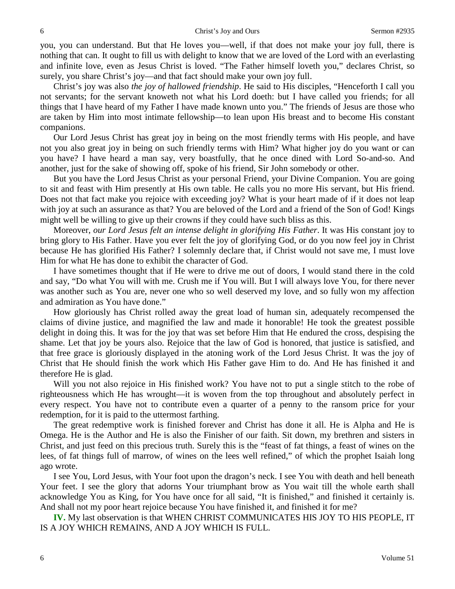you, you can understand. But that He loves you—well, if that does not make your joy full, there is nothing that can. It ought to fill us with delight to know that we are loved of the Lord with an everlasting and infinite love, even as Jesus Christ is loved. "The Father himself loveth you," declares Christ, so surely, you share Christ's joy—and that fact should make your own joy full.

Christ's joy was also *the joy of hallowed friendship*. He said to His disciples, "Henceforth I call you not servants; for the servant knoweth not what his Lord doeth: but I have called you friends; for all things that I have heard of my Father I have made known unto you." The friends of Jesus are those who are taken by Him into most intimate fellowship—to lean upon His breast and to become His constant companions.

Our Lord Jesus Christ has great joy in being on the most friendly terms with His people, and have not you also great joy in being on such friendly terms with Him? What higher joy do you want or can you have? I have heard a man say, very boastfully, that he once dined with Lord So-and-so. And another, just for the sake of showing off, spoke of his friend, Sir John somebody or other.

But you have the Lord Jesus Christ as your personal Friend, your Divine Companion. You are going to sit and feast with Him presently at His own table. He calls you no more His servant, but His friend. Does not that fact make you rejoice with exceeding joy? What is your heart made of if it does not leap with joy at such an assurance as that? You are beloved of the Lord and a friend of the Son of God! Kings might well be willing to give up their crowns if they could have such bliss as this.

Moreover, *our Lord Jesus felt an intense delight in glorifying His Father*. It was His constant joy to bring glory to His Father. Have you ever felt the joy of glorifying God, or do you now feel joy in Christ because He has glorified His Father? I solemnly declare that, if Christ would not save me, I must love Him for what He has done to exhibit the character of God.

I have sometimes thought that if He were to drive me out of doors, I would stand there in the cold and say, "Do what You will with me. Crush me if You will. But I will always love You, for there never was another such as You are, never one who so well deserved my love, and so fully won my affection and admiration as You have done."

How gloriously has Christ rolled away the great load of human sin, adequately recompensed the claims of divine justice, and magnified the law and made it honorable! He took the greatest possible delight in doing this. It was for the joy that was set before Him that He endured the cross, despising the shame. Let that joy be yours also. Rejoice that the law of God is honored, that justice is satisfied, and that free grace is gloriously displayed in the atoning work of the Lord Jesus Christ. It was the joy of Christ that He should finish the work which His Father gave Him to do. And He has finished it and therefore He is glad.

Will you not also rejoice in His finished work? You have not to put a single stitch to the robe of righteousness which He has wrought—it is woven from the top throughout and absolutely perfect in every respect. You have not to contribute even a quarter of a penny to the ransom price for your redemption, for it is paid to the uttermost farthing.

The great redemptive work is finished forever and Christ has done it all. He is Alpha and He is Omega. He is the Author and He is also the Finisher of our faith. Sit down, my brethren and sisters in Christ, and just feed on this precious truth. Surely this is the "feast of fat things, a feast of wines on the lees, of fat things full of marrow, of wines on the lees well refined," of which the prophet Isaiah long ago wrote.

I see You, Lord Jesus, with Your foot upon the dragon's neck. I see You with death and hell beneath Your feet. I see the glory that adorns Your triumphant brow as You wait till the whole earth shall acknowledge You as King, for You have once for all said, "It is finished," and finished it certainly is. And shall not my poor heart rejoice because You have finished it, and finished it for me?

**IV.** My last observation is that WHEN CHRIST COMMUNICATES HIS JOY TO HIS PEOPLE, IT IS A JOY WHICH REMAINS, AND A JOY WHICH IS FULL.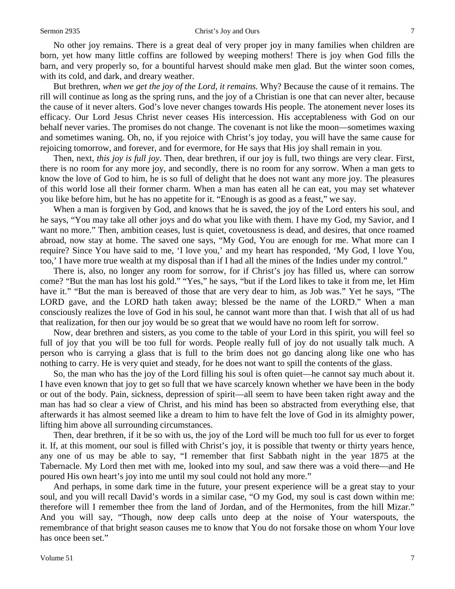No other joy remains. There is a great deal of very proper joy in many families when children are born, yet how many little coffins are followed by weeping mothers! There is joy when God fills the barn, and very properly so, for a bountiful harvest should make men glad. But the winter soon comes, with its cold, and dark, and dreary weather.

But brethren*, when we get the joy of the Lord, it remains.* Why? Because the cause of it remains. The rill will continue as long as the spring runs, and the joy of a Christian is one that can never alter, because the cause of it never alters. God's love never changes towards His people. The atonement never loses its efficacy. Our Lord Jesus Christ never ceases His intercession. His acceptableness with God on our behalf never varies. The promises do not change. The covenant is not like the moon—sometimes waxing and sometimes waning. Oh, no, if you rejoice with Christ's joy today, you will have the same cause for rejoicing tomorrow, and forever, and for evermore, for He says that His joy shall remain in you.

Then, next, *this joy is full joy*. Then, dear brethren, if our joy is full, two things are very clear. First, there is no room for any more joy, and secondly, there is no room for any sorrow. When a man gets to know the love of God to him, he is so full of delight that he does not want any more joy. The pleasures of this world lose all their former charm. When a man has eaten all he can eat, you may set whatever you like before him, but he has no appetite for it. "Enough is as good as a feast," we say.

When a man is forgiven by God, and knows that he is saved, the joy of the Lord enters his soul, and he says, "You may take all other joys and do what you like with them. I have my God, my Savior, and I want no more." Then, ambition ceases, lust is quiet, covetousness is dead, and desires, that once roamed abroad, now stay at home. The saved one says, "My God, You are enough for me. What more can I require? Since You have said to me, 'I love you,' and my heart has responded, 'My God, I love You, too,' I have more true wealth at my disposal than if I had all the mines of the Indies under my control."

There is, also, no longer any room for sorrow, for if Christ's joy has filled us, where can sorrow come? "But the man has lost his gold." "Yes," he says, "but if the Lord likes to take it from me, let Him have it." "But the man is bereaved of those that are very dear to him, as Job was." Yet he says, "The LORD gave, and the LORD hath taken away; blessed be the name of the LORD." When a man consciously realizes the love of God in his soul, he cannot want more than that. I wish that all of us had that realization, for then our joy would be so great that we would have no room left for sorrow.

Now, dear brethren and sisters, as you come to the table of your Lord in this spirit, you will feel so full of joy that you will be too full for words. People really full of joy do not usually talk much. A person who is carrying a glass that is full to the brim does not go dancing along like one who has nothing to carry. He is very quiet and steady, for he does not want to spill the contents of the glass.

So, the man who has the joy of the Lord filling his soul is often quiet—he cannot say much about it. I have even known that joy to get so full that we have scarcely known whether we have been in the body or out of the body. Pain, sickness, depression of spirit—all seem to have been taken right away and the man has had so clear a view of Christ, and his mind has been so abstracted from everything else, that afterwards it has almost seemed like a dream to him to have felt the love of God in its almighty power, lifting him above all surrounding circumstances.

Then, dear brethren, if it be so with us, the joy of the Lord will be much too full for us ever to forget it. If, at this moment, our soul is filled with Christ's joy, it is possible that twenty or thirty years hence, any one of us may be able to say, "I remember that first Sabbath night in the year 1875 at the Tabernacle. My Lord then met with me, looked into my soul, and saw there was a void there—and He poured His own heart's joy into me until my soul could not hold any more."

And perhaps, in some dark time in the future, your present experience will be a great stay to your soul, and you will recall David's words in a similar case, "O my God, my soul is cast down within me: therefore will I remember thee from the land of Jordan, and of the Hermonites, from the hill Mizar." And you will say, "Though, now deep calls unto deep at the noise of Your waterspouts, the remembrance of that bright season causes me to know that You do not forsake those on whom Your love has once been set."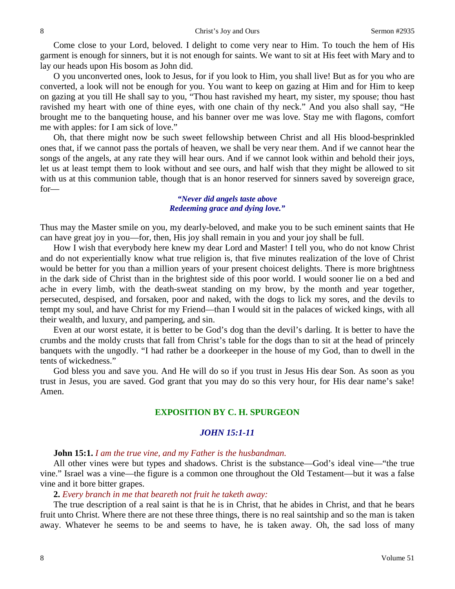Come close to your Lord, beloved. I delight to come very near to Him. To touch the hem of His garment is enough for sinners, but it is not enough for saints. We want to sit at His feet with Mary and to lay our heads upon His bosom as John did.

O you unconverted ones, look to Jesus, for if you look to Him, you shall live! But as for you who are converted, a look will not be enough for you. You want to keep on gazing at Him and for Him to keep on gazing at you till He shall say to you, "Thou hast ravished my heart, my sister, my spouse; thou hast ravished my heart with one of thine eyes, with one chain of thy neck." And you also shall say, "He brought me to the banqueting house, and his banner over me was love. Stay me with flagons, comfort me with apples: for I am sick of love."

Oh, that there might now be such sweet fellowship between Christ and all His blood-besprinkled ones that, if we cannot pass the portals of heaven, we shall be very near them. And if we cannot hear the songs of the angels, at any rate they will hear ours. And if we cannot look within and behold their joys, let us at least tempt them to look without and see ours, and half wish that they might be allowed to sit with us at this communion table, though that is an honor reserved for sinners saved by sovereign grace, for—

### *"Never did angels taste above Redeeming grace and dying love."*

Thus may the Master smile on you, my dearly-beloved, and make you to be such eminent saints that He can have great joy in you—for, then, His joy shall remain in you and your joy shall be full.

How I wish that everybody here knew my dear Lord and Master! I tell you, who do not know Christ and do not experientially know what true religion is, that five minutes realization of the love of Christ would be better for you than a million years of your present choicest delights. There is more brightness in the dark side of Christ than in the brightest side of this poor world. I would sooner lie on a bed and ache in every limb, with the death-sweat standing on my brow, by the month and year together, persecuted, despised, and forsaken, poor and naked, with the dogs to lick my sores, and the devils to tempt my soul, and have Christ for my Friend—than I would sit in the palaces of wicked kings, with all their wealth, and luxury, and pampering, and sin.

Even at our worst estate, it is better to be God's dog than the devil's darling. It is better to have the crumbs and the moldy crusts that fall from Christ's table for the dogs than to sit at the head of princely banquets with the ungodly. "I had rather be a doorkeeper in the house of my God, than to dwell in the tents of wickedness."

God bless you and save you. And He will do so if you trust in Jesus His dear Son. As soon as you trust in Jesus, you are saved. God grant that you may do so this very hour, for His dear name's sake! Amen.

# **EXPOSITION BY C. H. SPURGEON**

### *JOHN 15:1-11*

**John 15:1.** *I am the true vine, and my Father is the husbandman.*

All other vines were but types and shadows. Christ is the substance—God's ideal vine—"the true vine." Israel was a vine—the figure is a common one throughout the Old Testament—but it was a false vine and it bore bitter grapes.

#### **2.** *Every branch in me that beareth not fruit he taketh away:*

The true description of a real saint is that he is in Christ, that he abides in Christ, and that he bears fruit unto Christ. Where there are not these three things, there is no real saintship and so the man is taken away. Whatever he seems to be and seems to have, he is taken away. Oh, the sad loss of many